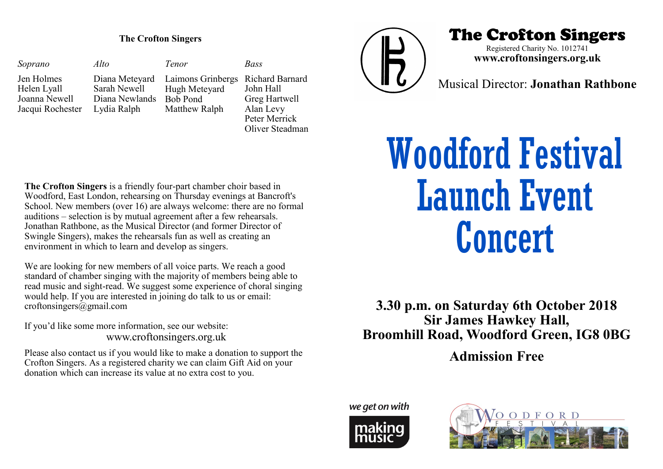*Soprano* Jen Holmes Helen Lyall Joanna Newell Jacqui Rochester *Alto* Diana Meteyard Sarah Newell Diana Newlands Bob Pond Lydia Ralph *Bass* Richard Barnard John Hall Greg Hartwell Alan Levy Peter Merrick Oliver Steadman *Tenor* Laimons Grinbergs Hugh Meteyard Matthew Ralph



## The Crofton Singers The Crofton Singers

Registered Charity No. 1012741 **www.croftonsingers.org.uk**

Musical Director: **Jonathan Rathbone**

**The Crofton Singers** is a friendly four-part chamber choir based in Woodford, East London, rehearsing on Thursday evenings at Bancroft's School. New members (over 16) are always welcome: there are no formal auditions – selection is by mutual agreement after a few rehearsals. Jonathan Rathbone, as the Musical Director (and former Director of Swingle Singers), makes the rehearsals fun as well as creating an environment in which to learn and develop as singers.

We are looking for new members of all voice parts. We reach a good standard of chamber singing with the majority of members being able to read music and sight-read. We suggest some experience of choral singing would help. If you are interested in joining do talk to us or email: croftonsingers@gmail.com

If you'd like some more information, see our website: www.croftonsingers.org.uk

Please also contact us if you would like to make a donation to support the Crofton Singers. As a registered charity we can claim Gift Aid on your donation which can increase its value at no extra cost to you.

# Woodford Festival Launch Event Concert

**3.30 p.m. on Saturday 6th October 2018 Sir James Hawkey Hall, Broomhill Road, Woodford Green, IG8 0BG**

**Admission Free**

we get on with